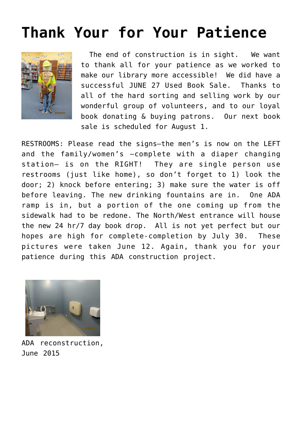## **[Thank Your for Your Patience](https://sancarlosfriendsofthelibrary.org/2015/07/13/extra-there-will-be-a-june-27-used-book-sale/)**



 The end of construction is in sight. We want to thank all for your patience as we worked to make our library more accessible! We did have a successful JUNE 27 Used Book Sale. Thanks to all of the hard sorting and selling work by our wonderful group of volunteers, and to our loyal book donating & buying patrons. Our next book sale is scheduled for August 1.

RESTROOMS: Please read the signs–the men's is now on the LEFT and the family/women's –complete with a diaper changing station– is on the RIGHT! They are single person use restrooms (just like home), so don't forget to 1) look the door; 2) knock before entering; 3) make sure the water is off before leaving. The new drinking fountains are in. One ADA ramp is in, but a portion of the one coming up from the sidewalk had to be redone. The North/West entrance will house the new 24 hr/7 day book drop. All is not yet perfect but our hopes are high for complete-completion by July 30. These pictures were taken June 12. Again, thank you for your patience during this ADA construction project.



ADA reconstruction, June 2015